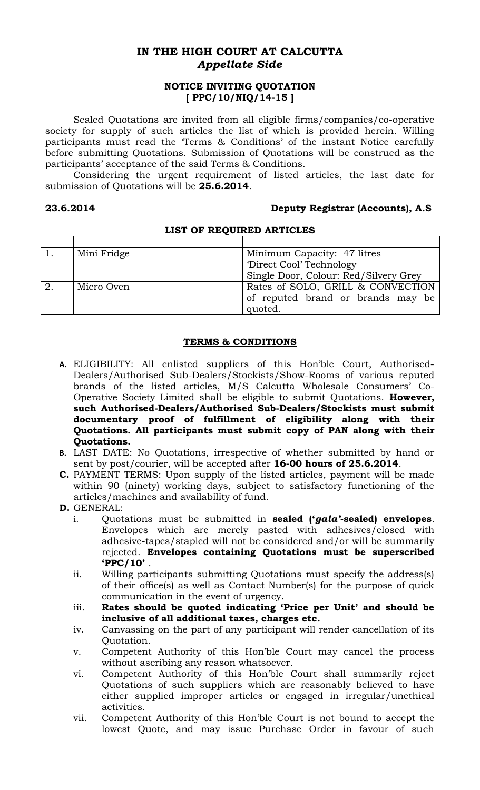# **IN THE HIGH COURT AT CALCUTTA** *Appellate Side*

## **NOTICE INVITING QUOTATION [ PPC/10/NIQ/14-15 ]**

Sealed Quotations are invited from all eligible firms/companies/co-operative society for supply of such articles the list of which is provided herein. Willing participants must read the 'Terms & Conditions' of the instant Notice carefully before submitting Quotations. Submission of Quotations will be construed as the participants' acceptance of the said Terms & Conditions.

Considering the urgent requirement of listed articles, the last date for submission of Quotations will be **25.6.2014**.

### **23.6.2014 Deputy Registrar (Accounts), A.S**

| Mini Fridge | Minimum Capacity: 47 litres           |
|-------------|---------------------------------------|
|             | 'Direct Cool' Technology              |
|             | Single Door, Colour: Red/Silvery Grey |
| Micro Oven  | Rates of SOLO, GRILL & CONVECTION     |
|             | of reputed brand or brands may be     |
|             | quoted.                               |

# **LIST OF REQUIRED ARTICLES**

## **TERMS & CONDITIONS**

- **A.** ELIGIBILITY: All enlisted suppliers of this Hon'ble Court, Authorised-Dealers/Authorised Sub-Dealers/Stockists/Show-Rooms of various reputed brands of the listed articles, M/S Calcutta Wholesale Consumers' Co-Operative Society Limited shall be eligible to submit Quotations. **However, such Authorised-Dealers/Authorised Sub-Dealers/Stockists must submit documentary proof of fulfillment of eligibility along with their Quotations. All participants must submit copy of PAN along with their Quotations.**
- **B.** LAST DATE: No Quotations, irrespective of whether submitted by hand or sent by post/courier, will be accepted after **16-00 hours of 25.6.2014**.
- **C.** PAYMENT TERMS: Upon supply of the listed articles, payment will be made within 90 (ninety) working days, subject to satisfactory functioning of the articles/machines and availability of fund.
- **D.** GENERAL:
	- i. Quotations must be submitted in **sealed ('***gala'***-sealed) envelopes**. Envelopes which are merely pasted with adhesives/closed with adhesive-tapes/stapled will not be considered and/or will be summarily rejected. **Envelopes containing Quotations must be superscribed 'PPC/10'** .
	- ii. Willing participants submitting Quotations must specify the address(s) of their office(s) as well as Contact Number(s) for the purpose of quick communication in the event of urgency.
	- iii. **Rates should be quoted indicating 'Price per Unit' and should be inclusive of all additional taxes, charges etc.**
	- iv. Canvassing on the part of any participant will render cancellation of its Quotation.
	- v. Competent Authority of this Hon'ble Court may cancel the process without ascribing any reason whatsoever.
	- vi. Competent Authority of this Hon'ble Court shall summarily reject Quotations of such suppliers which are reasonably believed to have either supplied improper articles or engaged in irregular/unethical activities.
	- vii. Competent Authority of this Hon'ble Court is not bound to accept the lowest Quote, and may issue Purchase Order in favour of such